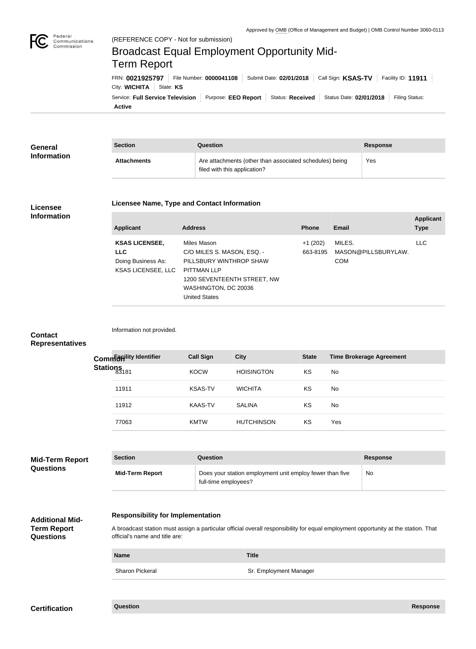

Federal

## City: **WICHITA** State: KS FRN: **0021925797** File Number: **0000041108** Submit Date: **02/01/2018** Call Sign: **KSAS-TV** Facility ID: **11911** (REFERENCE COPY - Not for submission) Broadcast Equal Employment Opportunity Mid-Term Report

**Active** Service: Full Service Television | Purpose: EEO Report | Status: Received | Status Date: 02/01/2018 | Filing Status:

| General            | <b>Section</b> | Question                                                                                | <b>Response</b> |
|--------------------|----------------|-----------------------------------------------------------------------------------------|-----------------|
| <b>Information</b> | Attachments    | Are attachments (other than associated schedules) being<br>filed with this application? | Yes             |

### **Licensee Information**

#### **Licensee Name, Type and Contact Information**

| <b>Applicant</b>                                                                       | <b>Address</b>                                                                                                                                                            | <b>Phone</b>          | Email                                       | <b>Applicant</b><br><b>Type</b> |
|----------------------------------------------------------------------------------------|---------------------------------------------------------------------------------------------------------------------------------------------------------------------------|-----------------------|---------------------------------------------|---------------------------------|
| <b>KSAS LICENSEE,</b><br><b>LLC</b><br>Doing Business As:<br><b>KSAS LICENSEE, LLC</b> | Miles Mason<br>C/O MILES S. MASON, ESQ. -<br>PILLSBURY WINTHROP SHAW<br><b>PITTMAN LLP</b><br>1200 SEVENTEENTH STREET, NW<br>WASHINGTON, DC 20036<br><b>United States</b> | $+1(202)$<br>663-8195 | MILES.<br>MASON@PILLSBURYLAW.<br><b>COM</b> | LLC.                            |

### **Contact Representatives**

|                  | Common district dentifier | <b>Call Sign</b> | <b>City</b>       | <b>State</b> | <b>Time Brokerage Agreement</b> |
|------------------|---------------------------|------------------|-------------------|--------------|---------------------------------|
| Stations<br>3181 |                           | <b>KOCW</b>      | <b>HOISINGTON</b> | KS           | No.                             |
|                  | 11911                     | <b>KSAS-TV</b>   | <b>WICHITA</b>    | KS           | No                              |
|                  | 11912                     | KAAS-TV          | <b>SALINA</b>     | KS           | No.                             |
|                  | 77063                     | <b>KMTW</b>      | <b>HUTCHINSON</b> | KS           | Yes                             |

| <b>Mid-Term Report</b><br><b>Questions</b> | <b>Section</b>         | <b>Question</b>                                                                  | <b>Response</b> |
|--------------------------------------------|------------------------|----------------------------------------------------------------------------------|-----------------|
|                                            | <b>Mid-Term Report</b> | Does your station employment unit employ fewer than five<br>full-time employees? | No              |

# **Additional Mid-**

### **Responsibility for Implementation**

Information not provided.

**Term Report Questions**

### A broadcast station must assign a particular official overall responsibility for equal employment opportunity at the station. That official's name and title are:

**Name Title** Sharon Pickeral Sharon Pickeral Sharon Pickeral Sharon Pickeral Sharon Pickeral Sharon Pickeral Sharon Sharon Sharon Sharon Sharon Sharon Sharon Sharon Sharon Sharon Sharon Sharon Sharon Sharon Sharon Sharon Sharon Sharon

| Question<br><b>Certification</b> | <b>Response</b> |
|----------------------------------|-----------------|
|----------------------------------|-----------------|